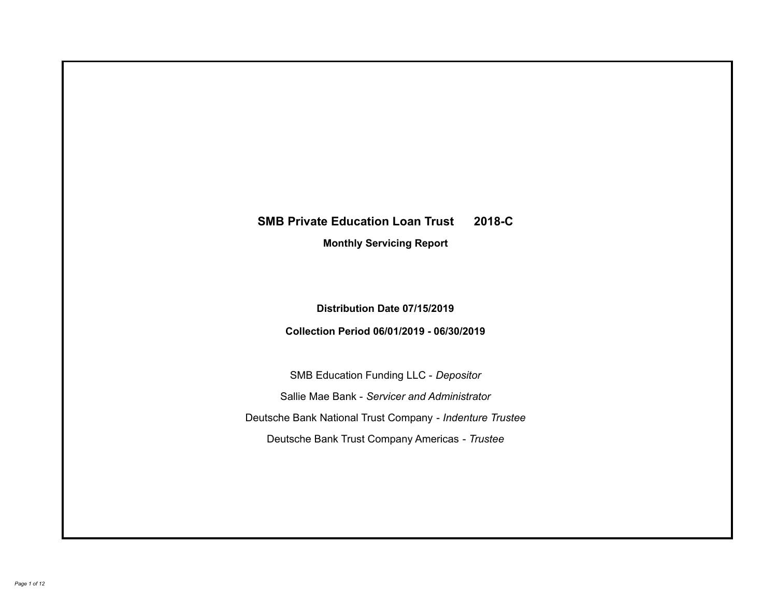# **SMB Private Education Loan Trust 2018-C Monthly Servicing Report**

## **Distribution Date 07/15/2019**

## **Collection Period 06/01/2019 - 06/30/2019**

SMB Education Funding LLC - *Depositor* Sallie Mae Bank - *Servicer and Administrator* Deutsche Bank National Trust Company - *Indenture Trustee* Deutsche Bank Trust Company Americas - *Trustee*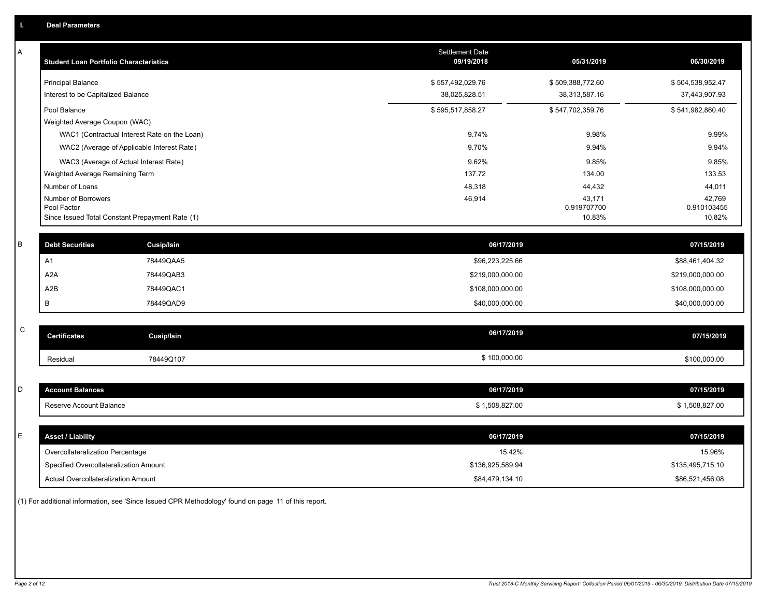| A           | <b>Student Loan Portfolio Characteristics</b>   |                                              | <b>Settlement Date</b><br>09/19/2018 | 05/31/2019            | 06/30/2019            |
|-------------|-------------------------------------------------|----------------------------------------------|--------------------------------------|-----------------------|-----------------------|
|             | <b>Principal Balance</b>                        |                                              | \$557,492,029.76                     | \$509,388,772.60      | \$504,538,952.47      |
|             | Interest to be Capitalized Balance              |                                              | 38,025,828.51                        | 38,313,587.16         | 37,443,907.93         |
|             | Pool Balance                                    |                                              | \$595,517,858.27                     | \$547,702,359.76      | \$541,982,860.40      |
|             | Weighted Average Coupon (WAC)                   |                                              |                                      |                       |                       |
|             |                                                 | WAC1 (Contractual Interest Rate on the Loan) | 9.74%                                | 9.98%                 | 9.99%                 |
|             |                                                 | WAC2 (Average of Applicable Interest Rate)   | 9.70%                                | 9.94%                 | 9.94%                 |
|             | WAC3 (Average of Actual Interest Rate)          |                                              | 9.62%                                | 9.85%                 | 9.85%                 |
|             | Weighted Average Remaining Term                 |                                              | 137.72                               | 134.00                | 133.53                |
|             | Number of Loans                                 |                                              | 48,318                               | 44,432                | 44,011                |
|             | Number of Borrowers<br>Pool Factor              |                                              | 46,914                               | 43,171<br>0.919707700 | 42,769<br>0.910103455 |
|             | Since Issued Total Constant Prepayment Rate (1) |                                              |                                      | 10.83%                | 10.82%                |
|             |                                                 |                                              |                                      |                       |                       |
| $\sf B$     | <b>Debt Securities</b>                          | Cusip/Isin                                   | 06/17/2019                           |                       | 07/15/2019            |
|             | A1                                              | 78449QAA5                                    | \$96,223,225.66                      |                       | \$88,461,404.32       |
|             | A <sub>2</sub> A                                | 78449QAB3                                    | \$219,000,000.00                     |                       | \$219,000,000.00      |
|             | A2B                                             | 78449QAC1                                    | \$108,000,000.00                     |                       | \$108,000,000.00      |
|             | В                                               | 78449QAD9                                    | \$40,000,000.00                      |                       | \$40,000,000.00       |
|             |                                                 |                                              |                                      |                       |                       |
| $\mathsf C$ | <b>Certificates</b>                             | <b>Cusip/Isin</b>                            | 06/17/2019                           |                       | 07/15/2019            |
|             | Residual                                        | 78449Q107                                    | \$100,000.00                         |                       | \$100,000.00          |
|             |                                                 |                                              |                                      |                       |                       |
| D           | <b>Account Balances</b>                         |                                              | 06/17/2019                           |                       | 07/15/2019            |
|             | Reserve Account Balance                         |                                              | \$1,508,827.00                       |                       | \$1,508,827.00        |
|             |                                                 |                                              |                                      |                       |                       |
| Е           | <b>Asset / Liability</b>                        |                                              | 06/17/2019                           |                       | 07/15/2019            |
|             | Overcollateralization Percentage                |                                              | 15.42%                               |                       | 15.96%                |
|             | Specified Overcollateralization Amount          |                                              | \$136,925,589.94                     |                       | \$135,495,715.10      |
|             | Actual Overcollateralization Amount             |                                              | \$84,479,134.10                      |                       | \$86,521,456.08       |

(1) For additional information, see 'Since Issued CPR Methodology' found on page 11 of this report.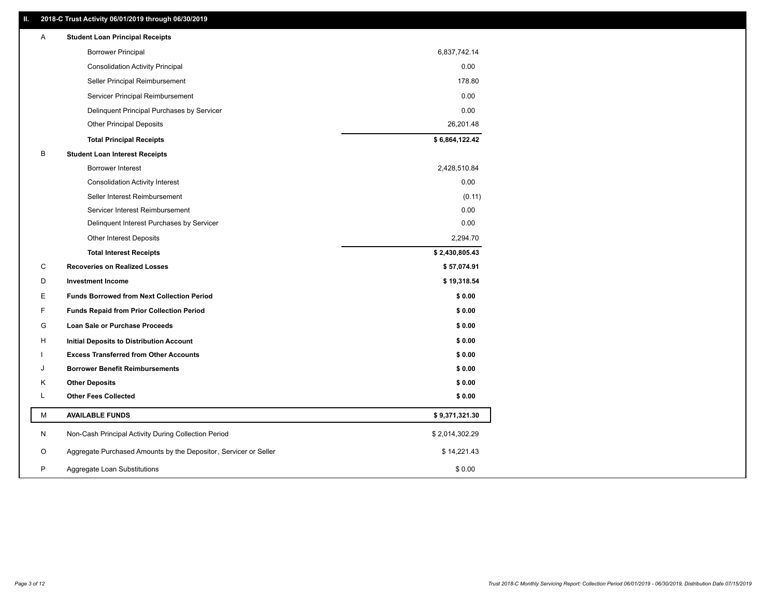## **II. 2018-C Trust Activity 06/01/2019 through 06/30/2019**

| <b>Borrower Principal</b><br>6,837,742.14<br><b>Consolidation Activity Principal</b><br>0.00<br>178.80<br>Seller Principal Reimbursement<br>0.00<br>Servicer Principal Reimbursement<br>Delinquent Principal Purchases by Servicer<br>0.00<br><b>Other Principal Deposits</b><br>26,201.48<br>\$6,864,122.42<br><b>Total Principal Receipts</b><br>B<br><b>Student Loan Interest Receipts</b><br><b>Borrower Interest</b><br>2,428,510.84<br>0.00<br><b>Consolidation Activity Interest</b><br>Seller Interest Reimbursement<br>(0.11)<br>Servicer Interest Reimbursement<br>0.00<br>0.00<br>Delinquent Interest Purchases by Servicer<br><b>Other Interest Deposits</b><br>2,294.70<br>\$2,430,805.43<br><b>Total Interest Receipts</b><br>C<br><b>Recoveries on Realized Losses</b><br>\$57,074.91<br>D<br><b>Investment Income</b><br>\$19,318.54<br>Е<br><b>Funds Borrowed from Next Collection Period</b><br>\$0.00<br>F<br>\$0.00<br><b>Funds Repaid from Prior Collection Period</b><br>G<br>\$0.00<br>Loan Sale or Purchase Proceeds<br>\$0.00<br>н<br>Initial Deposits to Distribution Account<br>\$0.00<br><b>Excess Transferred from Other Accounts</b><br>\$0.00<br><b>Borrower Benefit Reimbursements</b><br>J<br><b>Other Deposits</b><br>\$0.00<br>Κ<br>Г<br><b>Other Fees Collected</b><br>\$0.00<br>м<br><b>AVAILABLE FUNDS</b><br>\$9,371,321.30<br>N<br>Non-Cash Principal Activity During Collection Period<br>\$2,014,302.29<br>O<br>Aggregate Purchased Amounts by the Depositor, Servicer or Seller<br>\$14,221.43<br>P<br>\$0.00<br>Aggregate Loan Substitutions | Α | <b>Student Loan Principal Receipts</b> |  |
|------------------------------------------------------------------------------------------------------------------------------------------------------------------------------------------------------------------------------------------------------------------------------------------------------------------------------------------------------------------------------------------------------------------------------------------------------------------------------------------------------------------------------------------------------------------------------------------------------------------------------------------------------------------------------------------------------------------------------------------------------------------------------------------------------------------------------------------------------------------------------------------------------------------------------------------------------------------------------------------------------------------------------------------------------------------------------------------------------------------------------------------------------------------------------------------------------------------------------------------------------------------------------------------------------------------------------------------------------------------------------------------------------------------------------------------------------------------------------------------------------------------------------------------------------------------------------------------|---|----------------------------------------|--|
|                                                                                                                                                                                                                                                                                                                                                                                                                                                                                                                                                                                                                                                                                                                                                                                                                                                                                                                                                                                                                                                                                                                                                                                                                                                                                                                                                                                                                                                                                                                                                                                          |   |                                        |  |
|                                                                                                                                                                                                                                                                                                                                                                                                                                                                                                                                                                                                                                                                                                                                                                                                                                                                                                                                                                                                                                                                                                                                                                                                                                                                                                                                                                                                                                                                                                                                                                                          |   |                                        |  |
|                                                                                                                                                                                                                                                                                                                                                                                                                                                                                                                                                                                                                                                                                                                                                                                                                                                                                                                                                                                                                                                                                                                                                                                                                                                                                                                                                                                                                                                                                                                                                                                          |   |                                        |  |
|                                                                                                                                                                                                                                                                                                                                                                                                                                                                                                                                                                                                                                                                                                                                                                                                                                                                                                                                                                                                                                                                                                                                                                                                                                                                                                                                                                                                                                                                                                                                                                                          |   |                                        |  |
|                                                                                                                                                                                                                                                                                                                                                                                                                                                                                                                                                                                                                                                                                                                                                                                                                                                                                                                                                                                                                                                                                                                                                                                                                                                                                                                                                                                                                                                                                                                                                                                          |   |                                        |  |
|                                                                                                                                                                                                                                                                                                                                                                                                                                                                                                                                                                                                                                                                                                                                                                                                                                                                                                                                                                                                                                                                                                                                                                                                                                                                                                                                                                                                                                                                                                                                                                                          |   |                                        |  |
|                                                                                                                                                                                                                                                                                                                                                                                                                                                                                                                                                                                                                                                                                                                                                                                                                                                                                                                                                                                                                                                                                                                                                                                                                                                                                                                                                                                                                                                                                                                                                                                          |   |                                        |  |
|                                                                                                                                                                                                                                                                                                                                                                                                                                                                                                                                                                                                                                                                                                                                                                                                                                                                                                                                                                                                                                                                                                                                                                                                                                                                                                                                                                                                                                                                                                                                                                                          |   |                                        |  |
|                                                                                                                                                                                                                                                                                                                                                                                                                                                                                                                                                                                                                                                                                                                                                                                                                                                                                                                                                                                                                                                                                                                                                                                                                                                                                                                                                                                                                                                                                                                                                                                          |   |                                        |  |
|                                                                                                                                                                                                                                                                                                                                                                                                                                                                                                                                                                                                                                                                                                                                                                                                                                                                                                                                                                                                                                                                                                                                                                                                                                                                                                                                                                                                                                                                                                                                                                                          |   |                                        |  |
|                                                                                                                                                                                                                                                                                                                                                                                                                                                                                                                                                                                                                                                                                                                                                                                                                                                                                                                                                                                                                                                                                                                                                                                                                                                                                                                                                                                                                                                                                                                                                                                          |   |                                        |  |
|                                                                                                                                                                                                                                                                                                                                                                                                                                                                                                                                                                                                                                                                                                                                                                                                                                                                                                                                                                                                                                                                                                                                                                                                                                                                                                                                                                                                                                                                                                                                                                                          |   |                                        |  |
|                                                                                                                                                                                                                                                                                                                                                                                                                                                                                                                                                                                                                                                                                                                                                                                                                                                                                                                                                                                                                                                                                                                                                                                                                                                                                                                                                                                                                                                                                                                                                                                          |   |                                        |  |
|                                                                                                                                                                                                                                                                                                                                                                                                                                                                                                                                                                                                                                                                                                                                                                                                                                                                                                                                                                                                                                                                                                                                                                                                                                                                                                                                                                                                                                                                                                                                                                                          |   |                                        |  |
|                                                                                                                                                                                                                                                                                                                                                                                                                                                                                                                                                                                                                                                                                                                                                                                                                                                                                                                                                                                                                                                                                                                                                                                                                                                                                                                                                                                                                                                                                                                                                                                          |   |                                        |  |
|                                                                                                                                                                                                                                                                                                                                                                                                                                                                                                                                                                                                                                                                                                                                                                                                                                                                                                                                                                                                                                                                                                                                                                                                                                                                                                                                                                                                                                                                                                                                                                                          |   |                                        |  |
|                                                                                                                                                                                                                                                                                                                                                                                                                                                                                                                                                                                                                                                                                                                                                                                                                                                                                                                                                                                                                                                                                                                                                                                                                                                                                                                                                                                                                                                                                                                                                                                          |   |                                        |  |
|                                                                                                                                                                                                                                                                                                                                                                                                                                                                                                                                                                                                                                                                                                                                                                                                                                                                                                                                                                                                                                                                                                                                                                                                                                                                                                                                                                                                                                                                                                                                                                                          |   |                                        |  |
|                                                                                                                                                                                                                                                                                                                                                                                                                                                                                                                                                                                                                                                                                                                                                                                                                                                                                                                                                                                                                                                                                                                                                                                                                                                                                                                                                                                                                                                                                                                                                                                          |   |                                        |  |
|                                                                                                                                                                                                                                                                                                                                                                                                                                                                                                                                                                                                                                                                                                                                                                                                                                                                                                                                                                                                                                                                                                                                                                                                                                                                                                                                                                                                                                                                                                                                                                                          |   |                                        |  |
|                                                                                                                                                                                                                                                                                                                                                                                                                                                                                                                                                                                                                                                                                                                                                                                                                                                                                                                                                                                                                                                                                                                                                                                                                                                                                                                                                                                                                                                                                                                                                                                          |   |                                        |  |
|                                                                                                                                                                                                                                                                                                                                                                                                                                                                                                                                                                                                                                                                                                                                                                                                                                                                                                                                                                                                                                                                                                                                                                                                                                                                                                                                                                                                                                                                                                                                                                                          |   |                                        |  |
|                                                                                                                                                                                                                                                                                                                                                                                                                                                                                                                                                                                                                                                                                                                                                                                                                                                                                                                                                                                                                                                                                                                                                                                                                                                                                                                                                                                                                                                                                                                                                                                          |   |                                        |  |
|                                                                                                                                                                                                                                                                                                                                                                                                                                                                                                                                                                                                                                                                                                                                                                                                                                                                                                                                                                                                                                                                                                                                                                                                                                                                                                                                                                                                                                                                                                                                                                                          |   |                                        |  |
|                                                                                                                                                                                                                                                                                                                                                                                                                                                                                                                                                                                                                                                                                                                                                                                                                                                                                                                                                                                                                                                                                                                                                                                                                                                                                                                                                                                                                                                                                                                                                                                          |   |                                        |  |
|                                                                                                                                                                                                                                                                                                                                                                                                                                                                                                                                                                                                                                                                                                                                                                                                                                                                                                                                                                                                                                                                                                                                                                                                                                                                                                                                                                                                                                                                                                                                                                                          |   |                                        |  |
|                                                                                                                                                                                                                                                                                                                                                                                                                                                                                                                                                                                                                                                                                                                                                                                                                                                                                                                                                                                                                                                                                                                                                                                                                                                                                                                                                                                                                                                                                                                                                                                          |   |                                        |  |
|                                                                                                                                                                                                                                                                                                                                                                                                                                                                                                                                                                                                                                                                                                                                                                                                                                                                                                                                                                                                                                                                                                                                                                                                                                                                                                                                                                                                                                                                                                                                                                                          |   |                                        |  |
|                                                                                                                                                                                                                                                                                                                                                                                                                                                                                                                                                                                                                                                                                                                                                                                                                                                                                                                                                                                                                                                                                                                                                                                                                                                                                                                                                                                                                                                                                                                                                                                          |   |                                        |  |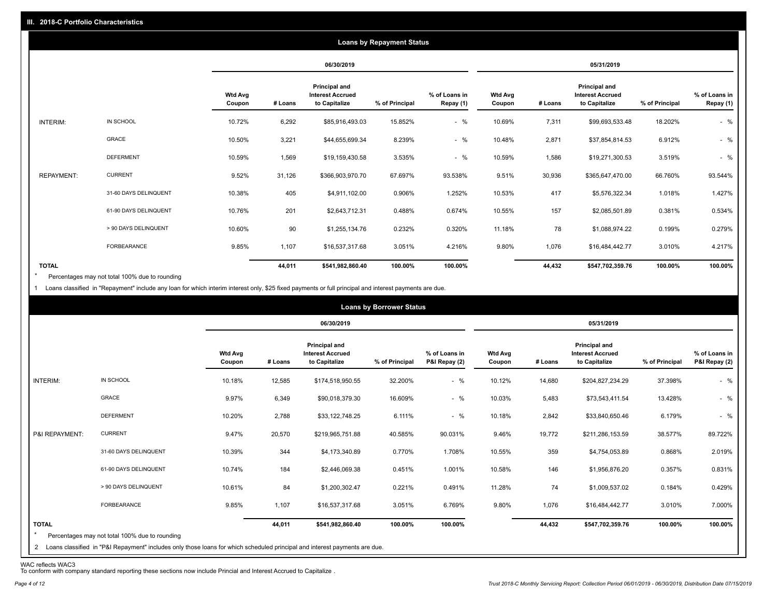|                   |                       |                          |         |                                                           | <b>Loans by Repayment Status</b> |                            |                          |         |                                                           |                |                            |
|-------------------|-----------------------|--------------------------|---------|-----------------------------------------------------------|----------------------------------|----------------------------|--------------------------|---------|-----------------------------------------------------------|----------------|----------------------------|
|                   |                       |                          |         | 06/30/2019                                                |                                  |                            |                          |         | 05/31/2019                                                |                |                            |
|                   |                       | <b>Wtd Avg</b><br>Coupon | # Loans | Principal and<br><b>Interest Accrued</b><br>to Capitalize | % of Principal                   | % of Loans in<br>Repay (1) | <b>Wtd Avg</b><br>Coupon | # Loans | Principal and<br><b>Interest Accrued</b><br>to Capitalize | % of Principal | % of Loans in<br>Repay (1) |
| INTERIM:          | IN SCHOOL             | 10.72%                   | 6,292   | \$85,916,493.03                                           | 15.852%                          | $-$ %                      | 10.69%                   | 7,311   | \$99,693,533.48                                           | 18.202%        | $-$ %                      |
|                   | GRACE                 | 10.50%                   | 3,221   | \$44,655,699.34                                           | 8.239%                           | $-$ %                      | 10.48%                   | 2,871   | \$37,854,814.53                                           | 6.912%         | $-$ %                      |
|                   | <b>DEFERMENT</b>      | 10.59%                   | 1,569   | \$19,159,430.58                                           | 3.535%                           | $-$ %                      | 10.59%                   | 1,586   | \$19,271,300.53                                           | 3.519%         | $-$ %                      |
| <b>REPAYMENT:</b> | <b>CURRENT</b>        | 9.52%                    | 31,126  | \$366,903,970.70                                          | 67.697%                          | 93.538%                    | 9.51%                    | 30,936  | \$365,647,470.00                                          | 66.760%        | 93.544%                    |
|                   | 31-60 DAYS DELINQUENT | 10.38%                   | 405     | \$4,911,102.00                                            | 0.906%                           | 1.252%                     | 10.53%                   | 417     | \$5,576,322.34                                            | 1.018%         | 1.427%                     |
|                   | 61-90 DAYS DELINQUENT | 10.76%                   | 201     | \$2,643,712.31                                            | 0.488%                           | 0.674%                     | 10.55%                   | 157     | \$2,085,501.89                                            | 0.381%         | 0.534%                     |
|                   | > 90 DAYS DELINQUENT  | 10.60%                   | 90      | \$1,255,134.76                                            | 0.232%                           | 0.320%                     | 11.18%                   | 78      | \$1,088,974.22                                            | 0.199%         | 0.279%                     |
|                   | FORBEARANCE           | 9.85%                    | 1,107   | \$16,537,317.68                                           | 3.051%                           | 4.216%                     | 9.80%                    | 1,076   | \$16,484,442.77                                           | 3.010%         | 4.217%                     |
| <b>TOTAL</b>      |                       |                          | 44,011  | \$541,982,860.40                                          | 100.00%                          | 100.00%                    |                          | 44,432  | \$547,702,359.76                                          | 100.00%        | 100.00%                    |

Percentages may not total 100% due to rounding \*

1 Loans classified in "Repayment" include any loan for which interim interest only, \$25 fixed payments or full principal and interest payments are due.

|                                |                                                                                                                                                                              |                          |         |                                                           | <b>Loans by Borrower Status</b> |                                |                          |         |                                                                  |                |                                |
|--------------------------------|------------------------------------------------------------------------------------------------------------------------------------------------------------------------------|--------------------------|---------|-----------------------------------------------------------|---------------------------------|--------------------------------|--------------------------|---------|------------------------------------------------------------------|----------------|--------------------------------|
|                                |                                                                                                                                                                              |                          |         | 06/30/2019                                                |                                 |                                |                          |         | 05/31/2019                                                       |                |                                |
|                                |                                                                                                                                                                              | <b>Wtd Avg</b><br>Coupon | # Loans | Principal and<br><b>Interest Accrued</b><br>to Capitalize | % of Principal                  | % of Loans in<br>P&I Repay (2) | <b>Wtd Avg</b><br>Coupon | # Loans | <b>Principal and</b><br><b>Interest Accrued</b><br>to Capitalize | % of Principal | % of Loans in<br>P&I Repay (2) |
| <b>INTERIM:</b>                | IN SCHOOL                                                                                                                                                                    | 10.18%                   | 12,585  | \$174,518,950.55                                          | 32.200%                         | $-$ %                          | 10.12%                   | 14,680  | \$204,827,234.29                                                 | 37.398%        | $-$ %                          |
|                                | <b>GRACE</b>                                                                                                                                                                 | 9.97%                    | 6,349   | \$90,018,379.30                                           | 16.609%                         | $-$ %                          | 10.03%                   | 5,483   | \$73,543,411.54                                                  | 13.428%        | $-$ %                          |
|                                | <b>DEFERMENT</b>                                                                                                                                                             | 10.20%                   | 2,788   | \$33,122,748.25                                           | 6.111%                          | $-$ %                          | 10.18%                   | 2,842   | \$33,840,650.46                                                  | 6.179%         | $-$ %                          |
| P&I REPAYMENT:                 | <b>CURRENT</b>                                                                                                                                                               | 9.47%                    | 20,570  | \$219,965,751.88                                          | 40.585%                         | 90.031%                        | 9.46%                    | 19,772  | \$211,286,153.59                                                 | 38.577%        | 89.722%                        |
|                                | 31-60 DAYS DELINQUENT                                                                                                                                                        | 10.39%                   | 344     | \$4,173,340.89                                            | 0.770%                          | 1.708%                         | 10.55%                   | 359     | \$4,754,053.89                                                   | 0.868%         | 2.019%                         |
|                                | 61-90 DAYS DELINQUENT                                                                                                                                                        | 10.74%                   | 184     | \$2,446,069.38                                            | 0.451%                          | 1.001%                         | 10.58%                   | 146     | \$1,956,876.20                                                   | 0.357%         | 0.831%                         |
|                                | > 90 DAYS DELINQUENT                                                                                                                                                         | 10.61%                   | 84      | \$1,200,302.47                                            | 0.221%                          | 0.491%                         | 11.28%                   | 74      | \$1,009,537.02                                                   | 0.184%         | 0.429%                         |
|                                | FORBEARANCE                                                                                                                                                                  | 9.85%                    | 1,107   | \$16,537,317.68                                           | 3.051%                          | 6.769%                         | 9.80%                    | 1,076   | \$16,484,442.77                                                  | 3.010%         | 7.000%                         |
| <b>TOTAL</b><br>$\overline{2}$ | Percentages may not total 100% due to rounding<br>Loans classified in "P&I Repayment" includes only those loans for which scheduled principal and interest payments are due. |                          | 44,011  | \$541,982,860.40                                          | 100.00%                         | 100.00%                        |                          | 44,432  | \$547,702,359.76                                                 | 100.00%        | 100.00%                        |

WAC reflects WAC3 To conform with company standard reporting these sections now include Princial and Interest Accrued to Capitalize .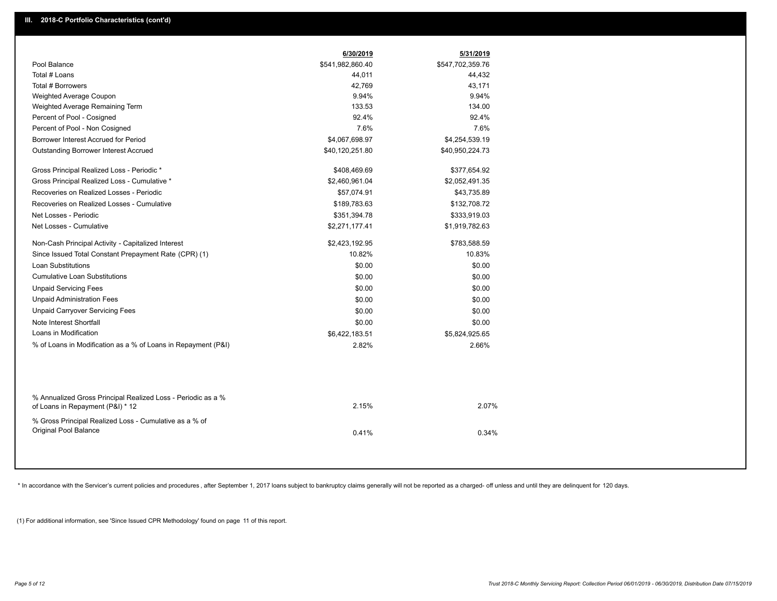|                                                                                                  | 6/30/2019        | 5/31/2019        |  |
|--------------------------------------------------------------------------------------------------|------------------|------------------|--|
| Pool Balance                                                                                     | \$541,982,860.40 | \$547,702,359.76 |  |
| Total # Loans                                                                                    | 44,011           | 44,432           |  |
| Total # Borrowers                                                                                | 42,769           | 43,171           |  |
| Weighted Average Coupon                                                                          | 9.94%            | 9.94%            |  |
| Weighted Average Remaining Term                                                                  | 133.53           | 134.00           |  |
| Percent of Pool - Cosigned                                                                       | 92.4%            | 92.4%            |  |
| Percent of Pool - Non Cosigned                                                                   | 7.6%             | 7.6%             |  |
| Borrower Interest Accrued for Period                                                             | \$4,067,698.97   | \$4,254,539.19   |  |
| <b>Outstanding Borrower Interest Accrued</b>                                                     | \$40,120,251.80  | \$40,950,224.73  |  |
| Gross Principal Realized Loss - Periodic *                                                       | \$408,469.69     | \$377,654.92     |  |
| Gross Principal Realized Loss - Cumulative *                                                     | \$2,460,961.04   | \$2,052,491.35   |  |
| Recoveries on Realized Losses - Periodic                                                         | \$57,074.91      | \$43,735.89      |  |
| Recoveries on Realized Losses - Cumulative                                                       | \$189,783.63     | \$132,708.72     |  |
| Net Losses - Periodic                                                                            | \$351,394.78     | \$333,919.03     |  |
| Net Losses - Cumulative                                                                          | \$2,271,177.41   | \$1,919,782.63   |  |
| Non-Cash Principal Activity - Capitalized Interest                                               | \$2,423,192.95   | \$783,588.59     |  |
| Since Issued Total Constant Prepayment Rate (CPR) (1)                                            | 10.82%           | 10.83%           |  |
| Loan Substitutions                                                                               | \$0.00           | \$0.00           |  |
| <b>Cumulative Loan Substitutions</b>                                                             | \$0.00           | \$0.00           |  |
| <b>Unpaid Servicing Fees</b>                                                                     | \$0.00           | \$0.00           |  |
| <b>Unpaid Administration Fees</b>                                                                | \$0.00           | \$0.00           |  |
| <b>Unpaid Carryover Servicing Fees</b>                                                           | \$0.00           | \$0.00           |  |
| Note Interest Shortfall                                                                          | \$0.00           | \$0.00           |  |
| Loans in Modification                                                                            | \$6,422,183.51   | \$5,824,925.65   |  |
| % of Loans in Modification as a % of Loans in Repayment (P&I)                                    | 2.82%            | 2.66%            |  |
|                                                                                                  |                  |                  |  |
| % Annualized Gross Principal Realized Loss - Periodic as a %<br>of Loans in Repayment (P&I) * 12 | 2.15%            | 2.07%            |  |
| % Gross Principal Realized Loss - Cumulative as a % of                                           |                  |                  |  |
| Original Pool Balance                                                                            | 0.41%            | 0.34%            |  |
|                                                                                                  |                  |                  |  |

\* In accordance with the Servicer's current policies and procedures, after September 1, 2017 loans subject to bankruptcy claims generally will not be reported as a charged- off unless and until they are delinquent for 120

(1) For additional information, see 'Since Issued CPR Methodology' found on page 11 of this report.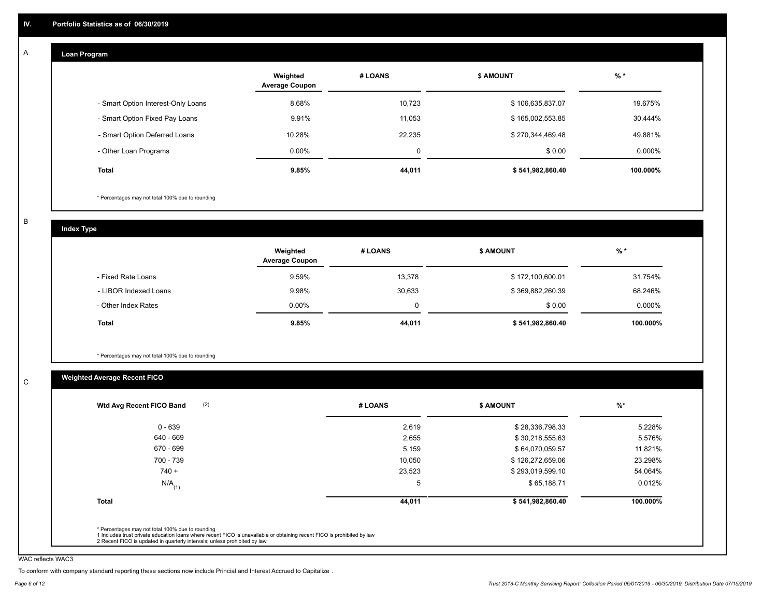#### **Loan Program**  A

|                                    | Weighted<br><b>Average Coupon</b> | # LOANS | <b>\$ AMOUNT</b> | $%$ *     |
|------------------------------------|-----------------------------------|---------|------------------|-----------|
| - Smart Option Interest-Only Loans | 8.68%                             | 10,723  | \$106,635,837.07 | 19.675%   |
| - Smart Option Fixed Pay Loans     | 9.91%                             | 11,053  | \$165,002,553.85 | 30.444%   |
| - Smart Option Deferred Loans      | 10.28%                            | 22.235  | \$270,344,469.48 | 49.881%   |
| - Other Loan Programs              | $0.00\%$                          | 0       | \$0.00           | $0.000\%$ |
| <b>Total</b>                       | 9.85%                             | 44,011  | \$541,982,860.40 | 100.000%  |

\* Percentages may not total 100% due to rounding

B

C

**Index Type**

|                       | Weighted<br><b>Average Coupon</b> | # LOANS | <b>S AMOUNT</b>  | $%$ *    |
|-----------------------|-----------------------------------|---------|------------------|----------|
| - Fixed Rate Loans    | 9.59%                             | 13,378  | \$172,100,600.01 | 31.754%  |
| - LIBOR Indexed Loans | 9.98%                             | 30,633  | \$369,882,260.39 | 68.246%  |
| - Other Index Rates   | 0.00%                             | 0       | \$0.00           | 0.000%   |
| <b>Total</b>          | 9.85%                             | 44,011  | \$541,982,860.40 | 100.000% |

\* Percentages may not total 100% due to rounding

## **Weighted Average Recent FICO**

| (2)<br>Wtd Avg Recent FICO Band | # LOANS | <b>\$ AMOUNT</b> | $%$ *    |
|---------------------------------|---------|------------------|----------|
| $0 - 639$                       | 2,619   | \$28,336,798.33  | 5.228%   |
| 640 - 669                       | 2,655   | \$30,218,555.63  | 5.576%   |
| 670 - 699                       | 5,159   | \$64,070,059.57  | 11.821%  |
| 700 - 739                       | 10,050  | \$126,272,659.06 | 23.298%  |
| $740 +$                         | 23,523  | \$293,019,599.10 | 54.064%  |
| $N/A$ <sub>(1)</sub>            | 5       | \$65,188.71      | 0.012%   |
| <b>Total</b>                    | 44,011  | \$541,982,860.40 | 100.000% |

WAC reflects WAC3

To conform with company standard reporting these sections now include Princial and Interest Accrued to Capitalize .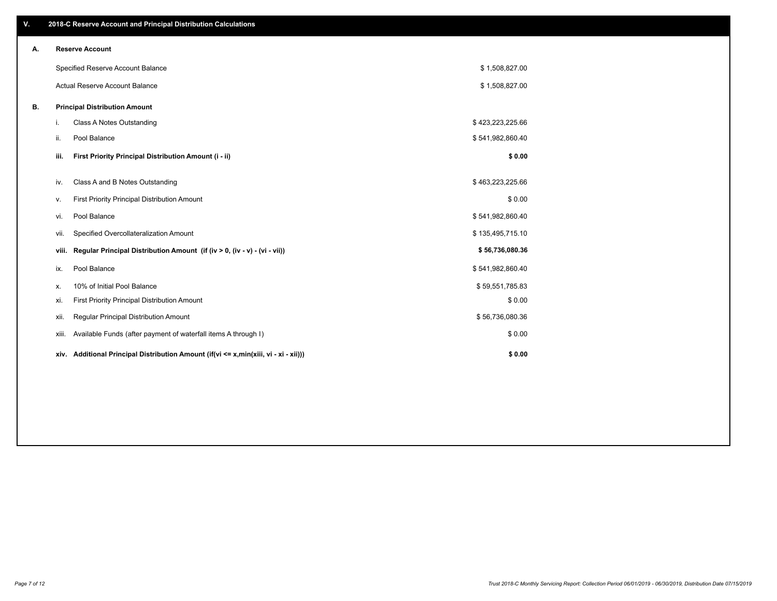| ٧. |       | 2018-C Reserve Account and Principal Distribution Calculations                  |                  |  |
|----|-------|---------------------------------------------------------------------------------|------------------|--|
| Α. |       | <b>Reserve Account</b>                                                          |                  |  |
|    |       | Specified Reserve Account Balance                                               | \$1,508,827.00   |  |
|    |       | Actual Reserve Account Balance                                                  | \$1,508,827.00   |  |
| В. |       | <b>Principal Distribution Amount</b>                                            |                  |  |
|    | i.    | Class A Notes Outstanding                                                       | \$423,223,225.66 |  |
|    | ii.   | Pool Balance                                                                    | \$541,982,860.40 |  |
|    | iii.  | First Priority Principal Distribution Amount (i - ii)                           | \$0.00           |  |
|    | iv.   | Class A and B Notes Outstanding                                                 | \$463,223,225.66 |  |
|    | ٧.    | First Priority Principal Distribution Amount                                    | \$0.00           |  |
|    | vi.   | Pool Balance                                                                    | \$541,982,860.40 |  |
|    | vii.  | Specified Overcollateralization Amount                                          | \$135,495,715.10 |  |
|    | viii. | Regular Principal Distribution Amount (if (iv > 0, (iv - v) - (vi - vii))       | \$56,736,080.36  |  |
|    | ix.   | Pool Balance                                                                    | \$541,982,860.40 |  |
|    | х.    | 10% of Initial Pool Balance                                                     | \$59,551,785.83  |  |
|    | xi.   | First Priority Principal Distribution Amount                                    | \$0.00           |  |
|    | xii.  | Regular Principal Distribution Amount                                           | \$56,736,080.36  |  |
|    | xiii. | Available Funds (after payment of waterfall items A through I)                  | \$0.00           |  |
|    | xiv.  | Additional Principal Distribution Amount (if(vi <= x,min(xiii, vi - xi - xii))) | \$0.00           |  |
|    |       |                                                                                 |                  |  |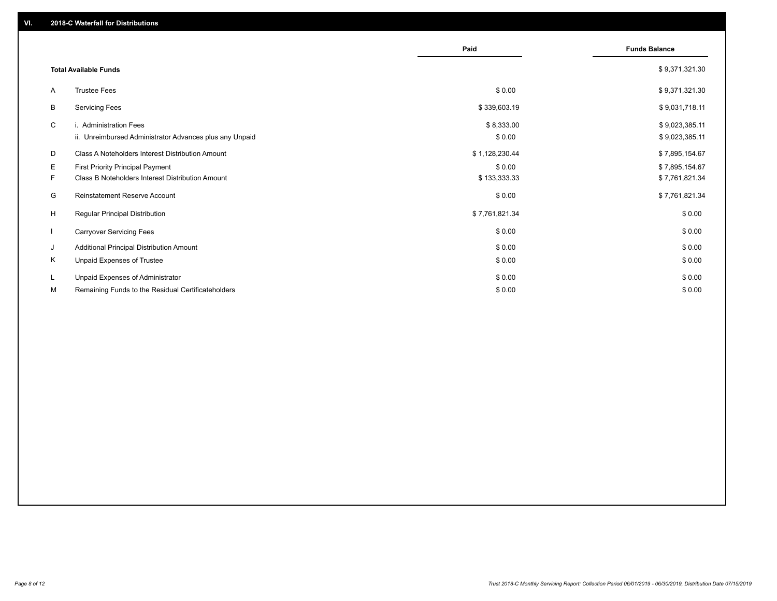|                                                                                             | Paid                                                                                                                                          | <b>Funds Balance</b>             |
|---------------------------------------------------------------------------------------------|-----------------------------------------------------------------------------------------------------------------------------------------------|----------------------------------|
|                                                                                             |                                                                                                                                               | \$9,371,321.30                   |
| <b>Trustee Fees</b>                                                                         | \$0.00                                                                                                                                        | \$9,371,321.30                   |
| <b>Servicing Fees</b>                                                                       | \$339,603.19                                                                                                                                  | \$9,031,718.11                   |
| i. Administration Fees                                                                      | \$8,333.00                                                                                                                                    | \$9,023,385.11<br>\$9,023,385.11 |
| Class A Noteholders Interest Distribution Amount                                            | \$1,128,230.44                                                                                                                                | \$7,895,154.67                   |
| First Priority Principal Payment<br><b>Class B Noteholders Interest Distribution Amount</b> | \$0.00<br>\$133,333.33                                                                                                                        | \$7,895,154.67<br>\$7,761,821.34 |
| <b>Reinstatement Reserve Account</b>                                                        | \$0.00                                                                                                                                        | \$7,761,821.34                   |
| <b>Regular Principal Distribution</b>                                                       | \$7,761,821.34                                                                                                                                | \$0.00                           |
| <b>Carryover Servicing Fees</b>                                                             | \$0.00                                                                                                                                        | \$0.00                           |
| Additional Principal Distribution Amount                                                    | \$0.00                                                                                                                                        | \$0.00                           |
| Unpaid Expenses of Trustee                                                                  | \$0.00                                                                                                                                        | \$0.00                           |
| Unpaid Expenses of Administrator                                                            | \$0.00                                                                                                                                        | \$0.00<br>\$0.00                 |
|                                                                                             | <b>Total Available Funds</b><br>ii. Unreimbursed Administrator Advances plus any Unpaid<br>Remaining Funds to the Residual Certificateholders | \$0.00<br>\$0.00                 |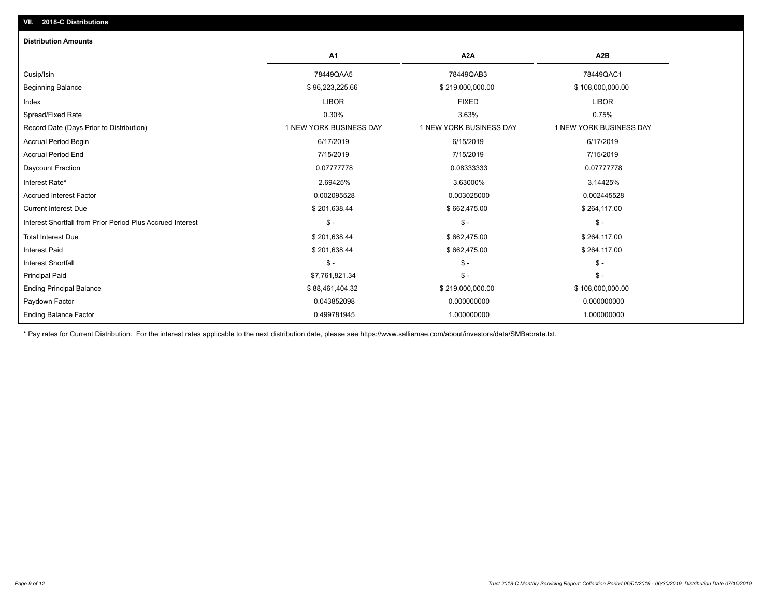| <b>Distribution Amounts</b>                                |                         |                         |                         |
|------------------------------------------------------------|-------------------------|-------------------------|-------------------------|
|                                                            | A <sub>1</sub>          | A <sub>2</sub> A        | A <sub>2</sub> B        |
| Cusip/Isin                                                 | 78449QAA5               | 78449QAB3               | 78449QAC1               |
| <b>Beginning Balance</b>                                   | \$96,223,225.66         | \$219,000,000.00        | \$108,000,000.00        |
| Index                                                      | <b>LIBOR</b>            | <b>FIXED</b>            | <b>LIBOR</b>            |
| Spread/Fixed Rate                                          | 0.30%                   | 3.63%                   | 0.75%                   |
| Record Date (Days Prior to Distribution)                   | 1 NEW YORK BUSINESS DAY | 1 NEW YORK BUSINESS DAY | 1 NEW YORK BUSINESS DAY |
| Accrual Period Begin                                       | 6/17/2019               | 6/15/2019               | 6/17/2019               |
| <b>Accrual Period End</b>                                  | 7/15/2019               | 7/15/2019               | 7/15/2019               |
| Daycount Fraction                                          | 0.07777778              | 0.08333333              | 0.07777778              |
| Interest Rate*                                             | 2.69425%                | 3.63000%                | 3.14425%                |
| <b>Accrued Interest Factor</b>                             | 0.002095528             | 0.003025000             | 0.002445528             |
| <b>Current Interest Due</b>                                | \$201,638.44            | \$662,475.00            | \$264,117.00            |
| Interest Shortfall from Prior Period Plus Accrued Interest | $\mathsf{\$}$ -         | $\mathsf{\$}$ -         | $$ -$                   |
| <b>Total Interest Due</b>                                  | \$201,638.44            | \$662,475.00            | \$264,117.00            |
| <b>Interest Paid</b>                                       | \$201,638.44            | \$662,475.00            | \$264,117.00            |
| <b>Interest Shortfall</b>                                  | $\mathsf{\$}$ -         | $$ -$                   | \$-                     |
| <b>Principal Paid</b>                                      | \$7,761,821.34          | $\mathsf{\$}$ -         | $\frac{1}{2}$           |
| <b>Ending Principal Balance</b>                            | \$88,461,404.32         | \$219,000,000.00        | \$108,000,000.00        |
| Paydown Factor                                             | 0.043852098             | 0.000000000             | 0.000000000             |
| <b>Ending Balance Factor</b>                               | 0.499781945             | 1.000000000             | 1.000000000             |

\* Pay rates for Current Distribution. For the interest rates applicable to the next distribution date, please see https://www.salliemae.com/about/investors/data/SMBabrate.txt.

**VII. 2018-C Distributions**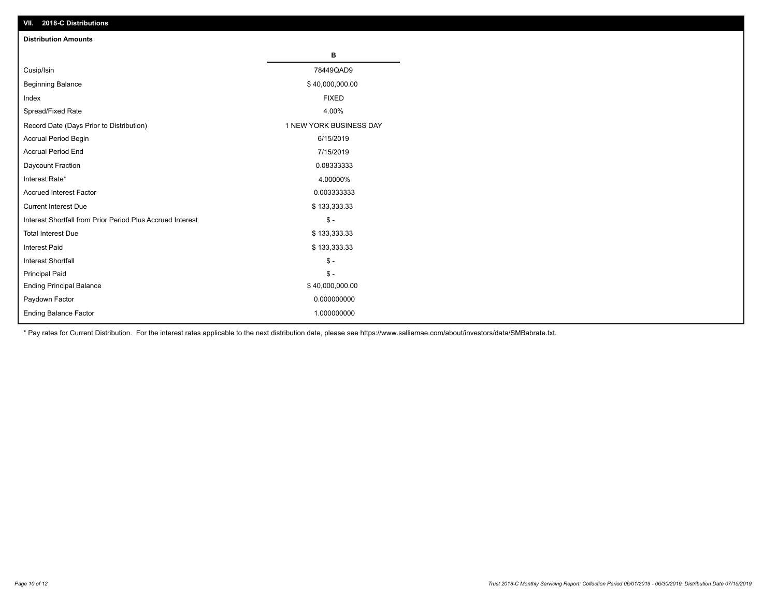| VII. ZU 10-U DISTIBUTURIS                                  |                         |
|------------------------------------------------------------|-------------------------|
| <b>Distribution Amounts</b>                                |                         |
|                                                            | В                       |
| Cusip/Isin                                                 | 78449QAD9               |
| <b>Beginning Balance</b>                                   | \$40,000,000.00         |
| Index                                                      | <b>FIXED</b>            |
| Spread/Fixed Rate                                          | 4.00%                   |
| Record Date (Days Prior to Distribution)                   | 1 NEW YORK BUSINESS DAY |
| Accrual Period Begin                                       | 6/15/2019               |
| <b>Accrual Period End</b>                                  | 7/15/2019               |
| Daycount Fraction                                          | 0.08333333              |
| Interest Rate*                                             | 4.00000%                |
| <b>Accrued Interest Factor</b>                             | 0.003333333             |
| <b>Current Interest Due</b>                                | \$133,333.33            |
| Interest Shortfall from Prior Period Plus Accrued Interest | $\mathcal{S}$ -         |
| <b>Total Interest Due</b>                                  | \$133,333.33            |
| <b>Interest Paid</b>                                       | \$133,333.33            |
| Interest Shortfall                                         | $\mathcal{S}$ -         |
| <b>Principal Paid</b>                                      | $\frac{1}{2}$           |
| <b>Ending Principal Balance</b>                            | \$40,000,000.00         |
| Paydown Factor                                             | 0.000000000             |
| <b>Ending Balance Factor</b>                               | 1.000000000             |

\* Pay rates for Current Distribution. For the interest rates applicable to the next distribution date, please see https://www.salliemae.com/about/investors/data/SMBabrate.txt.

**VII. 2018-C Distributions**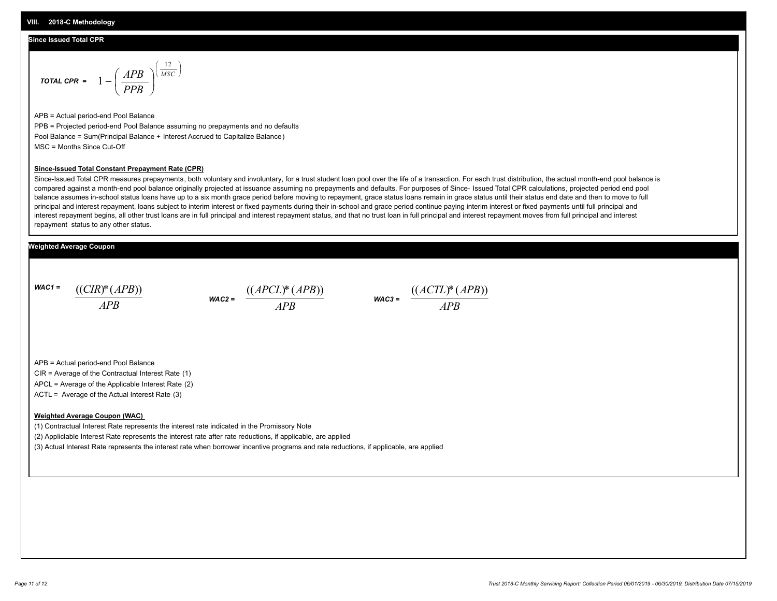## **Since Issued Total CPR**

$$
\text{total CPR} = 1 - \left(\frac{APB}{PPB}\right)^{\left(\frac{12}{MSC}\right)}
$$

APB = Actual period-end Pool Balance PPB = Projected period-end Pool Balance assuming no prepayments and no defaults Pool Balance = Sum(Principal Balance + Interest Accrued to Capitalize Balance) MSC = Months Since Cut-Off

#### **Since-Issued Total Constant Prepayment Rate (CPR)**

Since-Issued Total CPR measures prepayments, both voluntary and involuntary, for a trust student loan pool over the life of a transaction. For each trust distribution, the actual month-end pool balance is compared against a month-end pool balance originally projected at issuance assuming no prepayments and defaults. For purposes of Since- Issued Total CPR calculations, projected period end pool balance assumes in-school status loans have up to a six month grace period before moving to repayment, grace status loans remain in grace status until their status end date and then to move to full principal and interest repayment, loans subject to interim interest or fixed payments during their in-school and grace period continue paying interim interest or fixed payments until full principal and interest repayment begins, all other trust loans are in full principal and interest repayment status, and that no trust loan in full principal and interest repayment moves from full principal and interest repayment status to any other status.

## **Weighted Average Coupon**

*WAC1 = APB* ((*CIR*)\*(*APB*))

*WAC2 = APB*  $\frac{((APCL)^{*}(APB))}{APB}$  wac<sub>3</sub> =  $\frac{((ACTL)^{*}(A)P}{APB}$ 



APB = Actual period-end Pool Balance

CIR = Average of the Contractual Interest Rate (1)

APCL = Average of the Applicable Interest Rate (2)

ACTL = Average of the Actual Interest Rate (3)

### **Weighted Average Coupon (WAC)**

(1) Contractual Interest Rate represents the interest rate indicated in the Promissory Note

(2) Appliclable Interest Rate represents the interest rate after rate reductions, if applicable, are applied

(3) Actual Interest Rate represents the interest rate when borrower incentive programs and rate reductions, if applicable, are applied